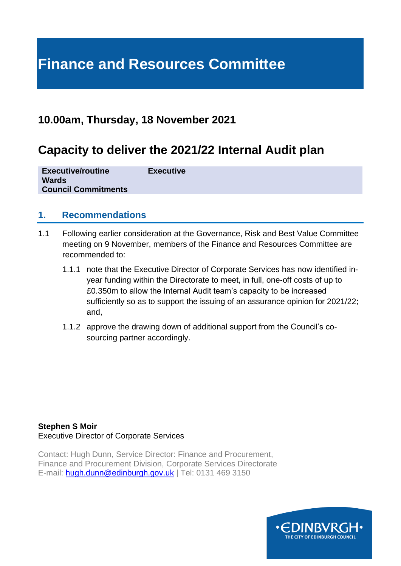# **Finance and Resources Committee**

## **10.00am, Thursday, 18 November 2021**

# **Capacity to deliver the 2021/22 Internal Audit plan**

| <b>Executive/routine</b>   | <b>Executive</b> |
|----------------------------|------------------|
| <b>Wards</b>               |                  |
| <b>Council Commitments</b> |                  |

#### **1. Recommendations**

- 1.1 Following earlier consideration at the Governance, Risk and Best Value Committee meeting on 9 November, members of the Finance and Resources Committee are recommended to:
	- 1.1.1 note that the Executive Director of Corporate Services has now identified inyear funding within the Directorate to meet, in full, one-off costs of up to £0.350m to allow the Internal Audit team's capacity to be increased sufficiently so as to support the issuing of an assurance opinion for 2021/22; and,
	- 1.1.2 approve the drawing down of additional support from the Council's cosourcing partner accordingly.

**Stephen S Moir**  Executive Director of Corporate Services

Contact: Hugh Dunn, Service Director: Finance and Procurement, Finance and Procurement Division, Corporate Services Directorate E-mail: [hugh.dunn@edinburgh.gov.uk](mailto:hugh.dunn@edinburgh.gov.uk) | Tel: 0131 469 3150

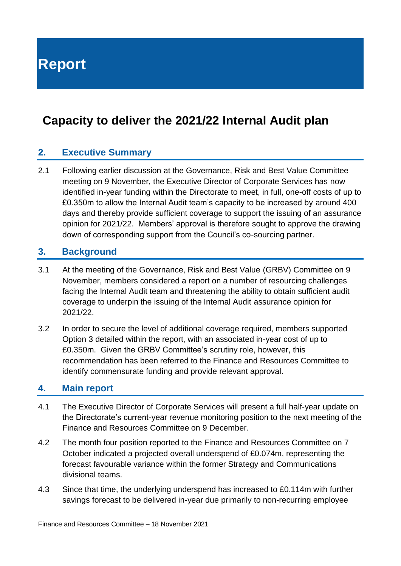**Report**

# **Capacity to deliver the 2021/22 Internal Audit plan**

#### **2. Executive Summary**

2.1 Following earlier discussion at the Governance, Risk and Best Value Committee meeting on 9 November, the Executive Director of Corporate Services has now identified in-year funding within the Directorate to meet, in full, one-off costs of up to £0.350m to allow the Internal Audit team's capacity to be increased by around 400 days and thereby provide sufficient coverage to support the issuing of an assurance opinion for 2021/22. Members' approval is therefore sought to approve the drawing down of corresponding support from the Council's co-sourcing partner.

#### **3. Background**

- 3.1 At the meeting of the Governance, Risk and Best Value (GRBV) Committee on 9 November, members considered a report on a number of resourcing challenges facing the Internal Audit team and threatening the ability to obtain sufficient audit coverage to underpin the issuing of the Internal Audit assurance opinion for 2021/22.
- 3.2 In order to secure the level of additional coverage required, members supported Option 3 detailed within the report, with an associated in-year cost of up to £0.350m. Given the GRBV Committee's scrutiny role, however, this recommendation has been referred to the Finance and Resources Committee to identify commensurate funding and provide relevant approval.

#### **4. Main report**

- 4.1 The Executive Director of Corporate Services will present a full half-year update on the Directorate's current-year revenue monitoring position to the next meeting of the Finance and Resources Committee on 9 December.
- 4.2 The month four position reported to the Finance and Resources Committee on 7 October indicated a projected overall underspend of £0.074m, representing the forecast favourable variance within the former Strategy and Communications divisional teams.
- 4.3 Since that time, the underlying underspend has increased to £0.114m with further savings forecast to be delivered in-year due primarily to non-recurring employee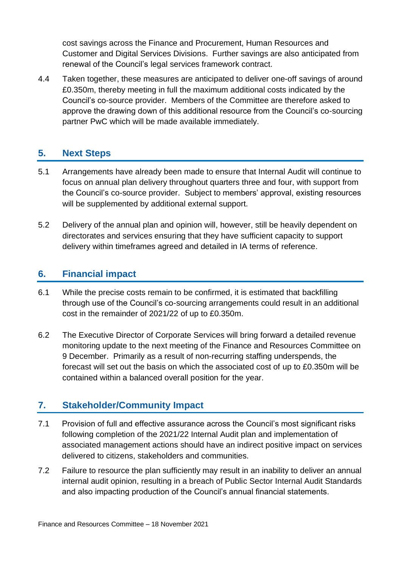cost savings across the Finance and Procurement, Human Resources and Customer and Digital Services Divisions. Further savings are also anticipated from renewal of the Council's legal services framework contract.

4.4 Taken together, these measures are anticipated to deliver one-off savings of around £0.350m, thereby meeting in full the maximum additional costs indicated by the Council's co-source provider. Members of the Committee are therefore asked to approve the drawing down of this additional resource from the Council's co-sourcing partner PwC which will be made available immediately.

#### **5. Next Steps**

- 5.1 Arrangements have already been made to ensure that Internal Audit will continue to focus on annual plan delivery throughout quarters three and four, with support from the Council's co-source provider. Subject to members' approval, existing resources will be supplemented by additional external support.
- 5.2 Delivery of the annual plan and opinion will, however, still be heavily dependent on directorates and services ensuring that they have sufficient capacity to support delivery within timeframes agreed and detailed in IA terms of reference.

#### **6. Financial impact**

- 6.1 While the precise costs remain to be confirmed, it is estimated that backfilling through use of the Council's co-sourcing arrangements could result in an additional cost in the remainder of 2021/22 of up to £0.350m.
- 6.2 The Executive Director of Corporate Services will bring forward a detailed revenue monitoring update to the next meeting of the Finance and Resources Committee on 9 December. Primarily as a result of non-recurring staffing underspends, the forecast will set out the basis on which the associated cost of up to £0.350m will be contained within a balanced overall position for the year.

#### **7. Stakeholder/Community Impact**

- 7.1 Provision of full and effective assurance across the Council's most significant risks following completion of the 2021/22 Internal Audit plan and implementation of associated management actions should have an indirect positive impact on services delivered to citizens, stakeholders and communities.
- 7.2 Failure to resource the plan sufficiently may result in an inability to deliver an annual internal audit opinion, resulting in a breach of Public Sector Internal Audit Standards and also impacting production of the Council's annual financial statements.